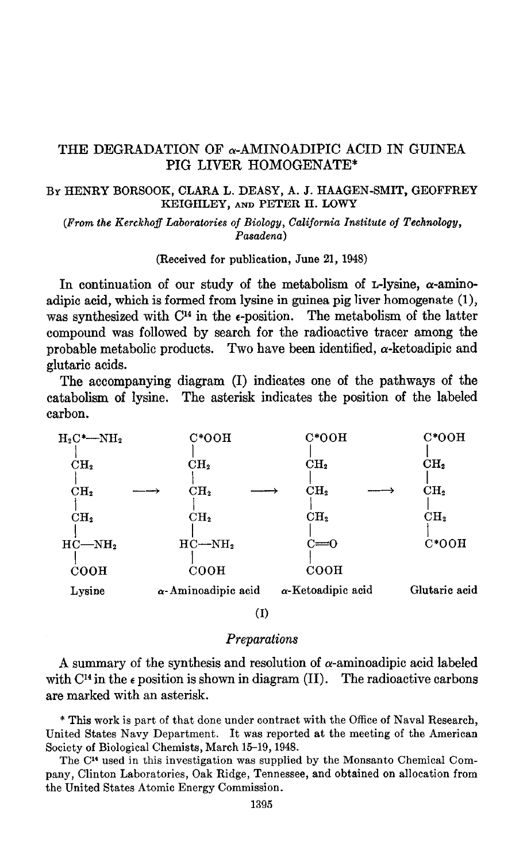# THE DEGRADATION OF  $\alpha$ -AMINOADIPIC ACID IN GUINEA PIG LIVER HOMOGENATE\*

### BY HENRY BORSOOK, CLARA L. DEASY, A. J. HAAGEN-SMIT, GEOFFREY KEIGHLEY, AND PETER H. LOWY

(From the Kerckhoff Laboratories of Biology, California Institute of Technology, Pasadena)

(Received for publication, June 21, 1948)

In continuation of our study of the metabolism of  $\mathbf{L}\text{-}lysine$ ,  $\alpha$ -aminoadipic acid, which is formed from lysine in guinea pig liver homogenate (1)) was synthesized with  $C<sup>14</sup>$  in the  $\epsilon$ -position. The metabolism of the latter compound was followed by search for the radioactive tracer among the probable metabolic products. Two have been identified, a-ketoadipic and glutaric acids.

The accompanying diagram (I) indicates one of the pathways of the catabolism of lysine. The asterisk indicates the position of the labeled carbon.



(1)

#### **Preparations**

A summary of the synthesis and resolution of  $\alpha$ -aminoadipic acid labeled with  $C<sup>14</sup>$  in the  $\epsilon$  position is shown in diagram (II). The radioactive carbons are marked with an asterisk.

\* This work is part of that done under contract with the Office of Naval Research, United States Navy Department. It was reported at the meeting of the American Society of Biological Chemists, March 15-19, 1948. The CY used in this investigation was supplied by the Monsanto Chemical Com-

pany, Clinton Laboratories, Oak Ridge, Tennessee, and obtained on allocation from pany, Clinton Laboratories, Oak Ridge, Tennessee, and obtained on allocation from the United States Atomic Energy Commission.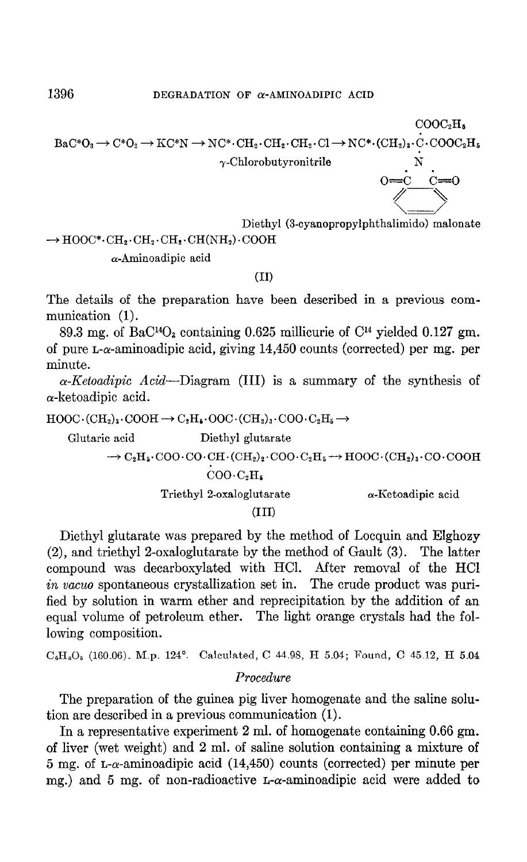$$
\begin{array}{cccc}\n & & & & & \text{COOC}_2H_5 \\
\text{BaC*O}_3 \rightarrow C^*O_2 \rightarrow \text{KC*N} \rightarrow \text{NC*} \cdot \text{CH}_2 \cdot \text{CH}_2 \cdot \text{CH}_2 \cdot \text{Cl} \rightarrow \text{NC*} \cdot (\text{CH}_2)_3 \cdot \text{C} \cdot \text{COOC}_2H_5 \\
 & & & \gamma\text{-Chlorobutyronitrile} & \text{N} \\
 & & & & \text{O} \text{---} \text{C} & \text{C} \text{---} \text{O} \\
 & & & & \text{O} \text{---} \text{C} & \text{O} \text{---} \text{O} \\
 & & & & \text{O} \text{---} \text{C} & \text{O} \text{---} \text{O} \\
 & & & & \text{O} \text{---} \text{O} & \text{O} \text{---} \text{O} \\
 & & & & \text{O} \text{---} \text{O} & \text{O} \text{---} \text{O} \\
 & & & & \text{O} \text{---} \text{O} & \text{O} \text{---} \text{O} & \text{O} \text{---} \text{O} \\
 & & & & \text{O} \text{---} \text{O} & \text{O} \text{---} \text{O} & \text{O} \text{---} \text{O} \\
 & & & & \text{O} \text{---} \text{O} & \text{O} \text{---} \text{O} & \text{O} \text{---} \text{O} & \text{O} \text{---} \text{O} \\
 & & & & \text{O} \text{---} \text{O} & \text{O} \text{---} \text{O} & \text{O} \text{---} \text{O} & \text{O} \text{---} \text{O} & \text{O} \text{---} \text{O} & \text{O} \text{---} \text{O} & \text{O} \text{---} \text{O} \\
 & & & & \text{O} \text{---} \text{O} & \text{O} \text{---} \text{O} & \text{O} \text{---} \text{O} & \text{O} \text{---} \text{O} & \text{O} \text{---} \text{O} & \text{O} \text{---} \text{O} & \text{O} \text{---} \text{O} & \text{O} \text{---} \text{O} & \text{O} \text{---
$$

Diethyl (3-cyanopropylphthalimido) malonate

 $\rightarrow$  HOOC\* $\cdot$ CH<sub>2</sub> $\cdot$ CH<sub>2</sub> $\cdot$ CH<sub>2</sub> $\cdot$ CH(NH<sub>2</sub>) $\cdot$ COOH

 $\alpha$ -Aminoadipic acid

#### $(II)$

The details of the preparation have been described in a previous communication (1).

89.3 mg. of BaC<sup>14</sup>O<sub>3</sub> containing 0.625 millicurie of  $C<sup>14</sup>$  yielded 0.127 gm. of pure  $L-\alpha$ -aminoadipic acid, giving 14,450 counts (corrected) per mg. per minute.

 $\alpha$ -Ketoadipic Acid—Diagram (III) is a summary of the synthesis of  $\alpha$ -ketoadipic acid.

 $\text{HOOC} \cdot (\text{CH}_2)_3 \cdot \text{COOH} \rightarrow C_2\text{H}_4 \cdot \text{OOC} \cdot (\text{CH}_2)_3 \cdot \text{COO} \cdot \text{C}_2\text{H}_5 \rightarrow$ 

Glutaric acid Diethyl glutarate  $\rightarrow C_2H_5 \cdot COO \cdot CO \cdot CH \cdot (CH_2)_2 \cdot COO \cdot C_2H_5 \rightarrow HOOC \cdot (CH_2)_3 \cdot CO \cdot COOH$  $COO \cdot C_2H_5$ Triethyl 2-oxaloglutarate  $\alpha$ -Ketoadipic acid

#### $(III)$

Diethyl glutarate was prepared by the method of Locquin and Elghozy (2), and triethyl 2-oxaloglutarate by the method of Gault (3). The latter compound was decarboxylated with HCl. After removal of the HCl in vacuo spontaneous crystallization set in. The crude product was purified by solution in warm ether and reprecipitation by the addition of an equal volume of petroleum ether. The light orange crystals had the following composition.

 $C_6H_8O_5$  (160.06). M.p. 124°. Calculated, C 44.98, H 5.04; Found, C 45.12, H 5.04

## Procedure

The preparation of the guinea pig liver homogenate and the saline solution are described in a previous communication (1).

In a representative experiment  $2$  ml. of homogenate containing 0.66 gm. of liver (wet weight) and 2 ml. of saline solution containing a mixture of  $5 \text{ mg. of } L$ - $\alpha$ -aminoadipic acid (14,450) counts (corrected) per minute per mg.) and 5 mg. of non-radioactive  $\text{L}-\alpha$ -aminoadipic acid were added to

1396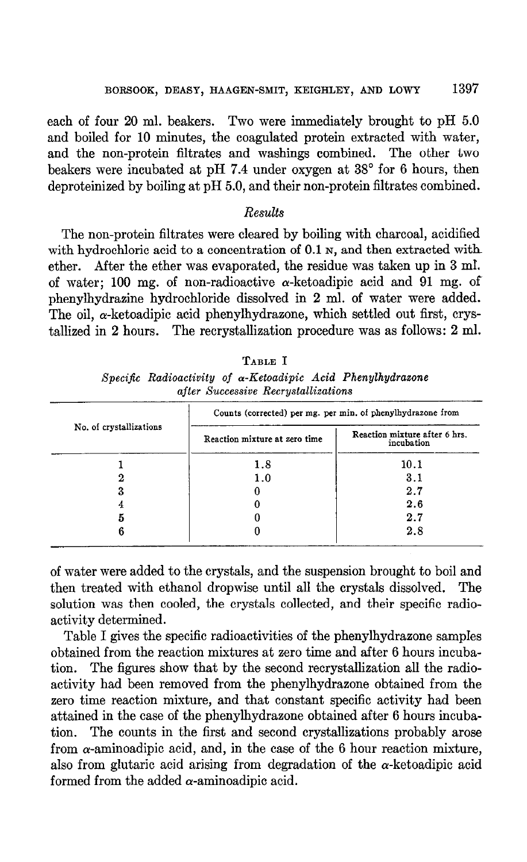each of four 20 ml. beakers. Two were immediately brought to pH 5.0 and boiled for 10 minutes, the coagulated protein extracted with water, and the non-protein filtrates and washings combined. The other two beakers were incubated at pH 7.4 under oxygen at 38" for 6 hours, then deproteinized by boiling at pH 5.0, and their non-protein filtrates combined.

### Results

The non-protein filtrates were cleared by boiling with charcoal, acidified with hydrochloric acid to a concentration of  $0.1$  N, and then extracted with ether. After the ether was evaporated, the residue was taken up in 3 m1. of water; 100 mg. of non-radioactive  $\alpha$ -ketoadipic acid and 91 mg. of phenylhydrazine hydrochloride dissolved in 2 ml. of water were added. The oil,  $\alpha$ -ketoadipic acid phenylhydrazone, which settled out first, crystallized in 2 hours. The recrystallization procedure was as follows: 2 ml.

|                                     |  | TABLE I |  |                                                                     |
|-------------------------------------|--|---------|--|---------------------------------------------------------------------|
|                                     |  |         |  | Specific Radioactivity of $\alpha$ -Ketoadipic Acid Phenylhydrazone |
| after Successive Recrustallizations |  |         |  |                                                                     |

|                         | Counts (corrected) per mg. per min. of phenylhydrazone from |                                             |  |  |
|-------------------------|-------------------------------------------------------------|---------------------------------------------|--|--|
| No. of crystallizations | Reaction mixture at zero time                               | Reaction mixture after 6 hrs.<br>incubation |  |  |
|                         | 1.8                                                         | 10.1                                        |  |  |
|                         | 1.0                                                         | 3.1                                         |  |  |
| 3                       |                                                             | 2.7                                         |  |  |
|                         |                                                             | 2.6                                         |  |  |
|                         |                                                             | 2.7                                         |  |  |
|                         |                                                             | 2.8                                         |  |  |

of water were added to the crystals, and the suspension brought to boil and then treated with ethanol dropwise until all the crystals dissolved. The solution was then cooled, the crystals collected, and their specific radioactivity determined.

Table I gives the specific radioactivities of the phenylhydrazone sampIes obtained from the reaction mixtures at zero time and after 6 hours incubation. The figures show that by the second recrystallization all the radioactivity had been removed from the phenylhydrazone obtained from the zero time reaction mixture, and that constant specific activity had been attained in the case of the phenylhydrazone obtained after 6 hours incubation. The counts in the first and second crystallizations probably arose from  $\alpha$ -aminoadipic acid, and, in the case of the 6 hour reaction mixture, also from glutaric acid arising from degradation of the  $\alpha$ -ketoadipic acid formed from the added  $\alpha$ -aminoadipic acid.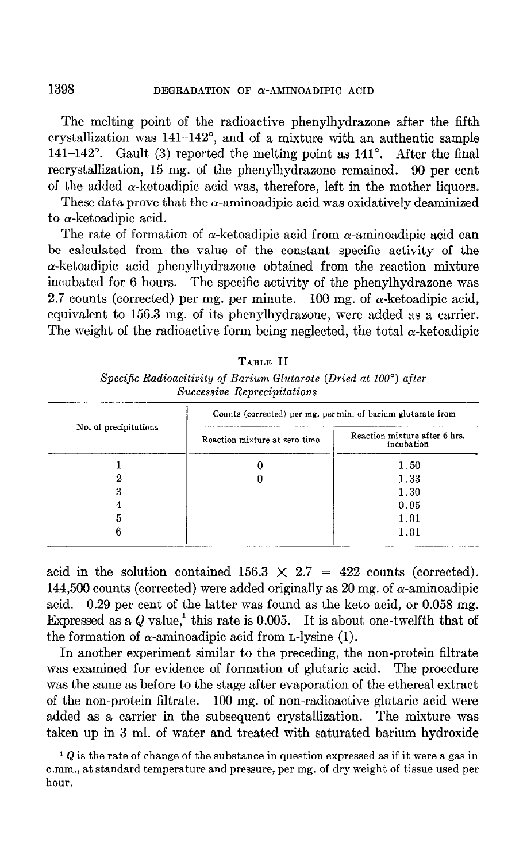The melting point of the radioactive phenylhydrazone after the fifth crystallization was 141-142", and of a mixture with an authentic sample 141-142'. Gault (3) reported the melting point as 141'. After the final recrystallization, 15 mg. of the phenylhydrazone remained. 90 per cent of the added  $\alpha$ -ketoadipic acid was, therefore, left in the mother liquors.

These data prove that the  $\alpha$ -aminoadipic acid was oxidatively deaminized to a-ketoadipic acid.

The rate of formation of  $\alpha$ -ketoadipic acid from  $\alpha$ -aminoadipic acid can be calculated from the value of the constant specific activity of the  $\alpha$ -ketoadipic acid phenylhydrazone obtained from the reaction mixture incubated for 6 hours. The specific activity of the phenylhydrazone was 2.7 counts (corrected) per mg. per minute. 100 mg. of  $\alpha$ -ketoadipic acid, equivalent to 156.3 mg. of its phenylhydrazone, were added as a carrier. The weight of the radioactive form being neglected, the total  $\alpha$ -ketoadipic

| Successive Reprecipitations |                                                              |                                             |  |  |  |  |
|-----------------------------|--------------------------------------------------------------|---------------------------------------------|--|--|--|--|
|                             | Counts (corrected) per mg. per min. of barium glutarate from |                                             |  |  |  |  |
| No. of precipitations       | Reaction mixture at zero time                                | Reaction mixture after 6 hrs.<br>incubation |  |  |  |  |
|                             |                                                              | 1.50                                        |  |  |  |  |
|                             |                                                              | 1.33                                        |  |  |  |  |
| З                           |                                                              | 1.30                                        |  |  |  |  |
| 4                           |                                                              | 0.95                                        |  |  |  |  |
|                             |                                                              | 1.01                                        |  |  |  |  |
| в                           |                                                              | 1 O 1                                       |  |  |  |  |

TABLE II

Specific Radioacitivity of Barium Glutarate (Dried at 100 $^{\circ}$ ) after Successive Repressivity

acid in the solution contained  $156.3 \times 2.7 = 422$  counts (corrected). 144,500 counts (corrected) were added originally as 20 mg. of  $\alpha$ -aminoadipic acid. 0.29 per cent of the latter was found as the keto acid, or 0.058 mg. Expressed as a  $Q$  value,<sup>1</sup> this rate is 0.005. It is about one-twelfth that of the formation of  $\alpha$ -aminoadipic acid from L-lysine (1).

In another experiment similar to the preceding, the non-protein filtrate was examined for evidence of formation of glutaric acid. The procedure was the same as before to the stage after evaporation of the ethereal extract of the non-protein filtrate. 100 mg. of non-radioactive glutaric acid were added as a carrier in the subsequent crystallization. The mixture was taken up in 3 ml. of water and treated with saturated barium hydroxide

 $1 Q$  is the rate of change of the substance in question expressed as if it were a gas in c.mm., at standard temperature and pressure, per mg. of dry weight of tissue used per hour.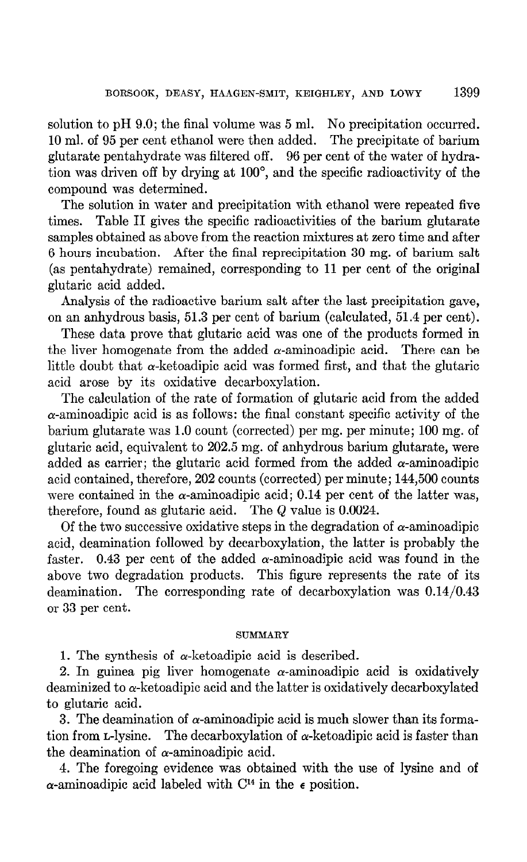solution to pH 9.0; the final volume was 5 ml. No precipitation occurred. 10 ml. of 95 per cent ethanol were then added. The precipitate of barium glutarate pentahydrate was filtered off. 96 per cent of the water of hydration was driven off by drying at 100°, and the specific radioactivity of the compound was determined.

The solution in water and precipitation with ethanol were repeated five times. Table II gives the specific radioactivities of the barium glutarate samples obtained as above from the reaction mixtures at zero time and after 6 hours incubation. After the final reprecipitation 30 mg. of barium salt (as pentahydrate) remained, corresponding to 11 per cent of the original glutaric acid added.

Analysis of the radioactive barium salt after the last precipitation gave, on an anhydrous basis, 51.3 per cent of barium (calculated, 51.4 per cent).

These data prove that glutaric acid was one of the products formed in the liver homogenate from the added  $\alpha$ -aminoadipic acid. There can be little doubt that  $\alpha$ -ketoadipic acid was formed first, and that the glutaric acid arose by its oxidative decarboxylation.

The calculation of the rate of formation of glutaric acid from the added  $\alpha$ -aminoadipic acid is as follows: the final constant specific activity of the barium glutarate was 1.0 count (corrected) per mg. per minute; 100 mg. of glutaric acid, equivalent to 202.5 mg. of anhydrous barium glutarate, were added as carrier; the glutaric acid formed from the added  $\alpha$ -aminoadipic acid contained, therefore, 202 counts (corrected) per minute; 144,500 counts were contained in the  $\alpha$ -aminoadipic acid; 0.14 per cent of the latter was, therefore, found as glutaric acid. The  $Q$  value is 0.0024.

Of the two successive oxidative steps in the degradation of  $\alpha$ -aminoadipic acid, deamination followed by decarboxylation, the latter is probably the faster. 0.43 per cent of the added  $\alpha$ -aminoadipic acid was found in the above two degradation products. This figure represents the rate of its deamination. The corresponding rate of decarboxylation was 0.14/0.43 or 33 per cent.

#### SUMMARY

1. The synthesis of  $\alpha$ -ketoadipic acid is described.

2. In guinea pig liver homogenate  $\alpha$ -aminoadipic acid is oxidatively deaminized to  $\alpha$ -ketoadipic acid and the latter is oxidatively decarboxylated to glutaric acid.

3. The deamination of  $\alpha$ -aminoadipic acid is much slower than its formation from  $L$ -lysine. The decarboxylation of  $\alpha$ -ketoadipic acid is faster than the deamination of  $\alpha$ -aminoadipic acid.

4. The foregoing evidence was obtained with the use of lysine and of  $\alpha$ -aminoadipic acid labeled with C<sup>14</sup> in the  $\epsilon$  position.